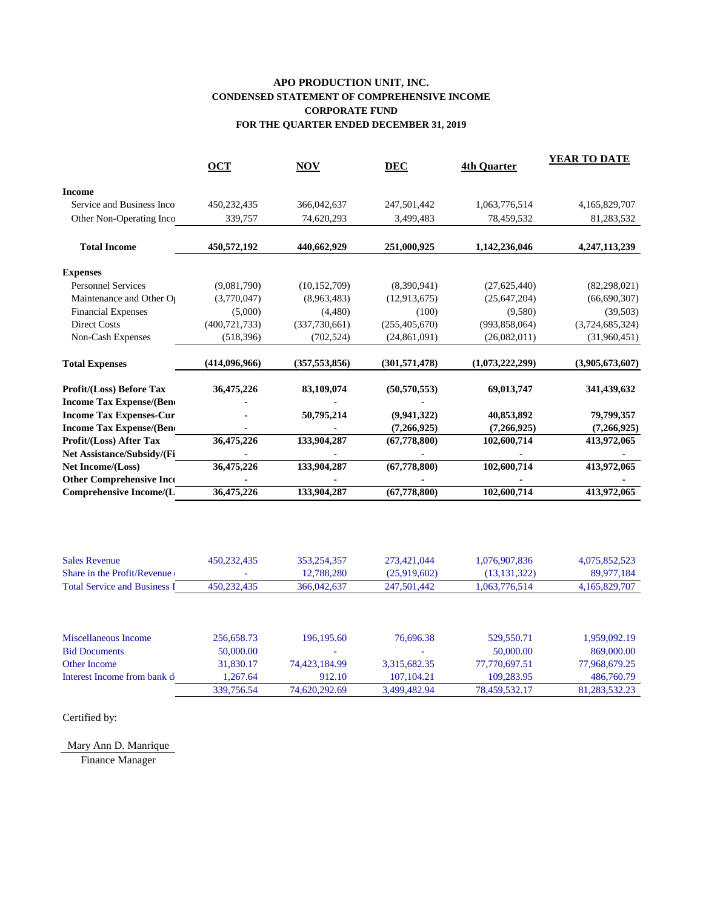## **APO PRODUCTION UNIT, INC. CONDENSED STATEMENT OF COMPREHENSIVE INCOME CORPORATE FUND FOR THE QUARTER ENDED DECEMBER 31, 2019**

|                                     | <b>OCT</b>      | <b>NOV</b>      | <b>DEC</b>                | <b>4th Quarter</b> | <b>YEAR TO DATE</b> |
|-------------------------------------|-----------------|-----------------|---------------------------|--------------------|---------------------|
| <b>Income</b>                       |                 |                 |                           |                    |                     |
| Service and Business Inco           | 450,232,435     | 366,042,637     | 247,501,442               | 1,063,776,514      | 4,165,829,707       |
| Other Non-Operating Inco            | 339,757         | 74,620,293      | 3,499,483                 | 78,459,532         | 81,283,532          |
| <b>Total Income</b>                 | 450,572,192     | 440,662,929     | 251,000,925               | 1,142,236,046      | 4,247,113,239       |
| <b>Expenses</b>                     |                 |                 |                           |                    |                     |
| <b>Personnel Services</b>           | (9,081,790)     | (10, 152, 709)  | (8,390,941)               | (27, 625, 440)     | (82, 298, 021)      |
| Maintenance and Other O             | (3,770,047)     | (8,963,483)     | (12, 913, 675)            | (25, 647, 204)     | (66, 690, 307)      |
| <b>Financial Expenses</b>           | (5,000)         | (4,480)         | (100)                     | (9,580)            | (39, 503)           |
| <b>Direct Costs</b>                 | (400, 721, 733) | (337,730,661)   | (255, 405, 670)           | (993, 858, 064)    | (3,724,685,324)     |
| Non-Cash Expenses                   | (518, 396)      | (702, 524)      | (24, 861, 091)            | (26,082,011)       | (31,960,451)        |
| <b>Total Expenses</b>               | (414,096,966)   | (357, 553, 856) | (301, 571, 478)           | (1,073,222,299)    | (3,905,673,607)     |
| <b>Profit/(Loss) Before Tax</b>     | 36,475,226      | 83,109,074      | (50, 570, 553)            | 69,013,747         | 341,439,632         |
| <b>Income Tax Expense/(Bend</b>     |                 |                 |                           |                    |                     |
| <b>Income Tax Expenses-Cur</b>      |                 | 50,795,214      | (9,941,322)               | 40,853,892         | 79,799,357          |
| <b>Income Tax Expense/(Bend</b>     |                 |                 | (7,266,925)               | (7,266,925)        | (7,266,925)         |
| Profit/(Loss) After Tax             | 36,475,226      | 133,904,287     | (67, 778, 800)            | 102,600,714        | 413,972,065         |
| Net Assistance/Subsidy/(Fi          |                 |                 |                           |                    |                     |
| Net Income/(Loss)                   | 36,475,226      | 133,904,287     | (67, 778, 800)            | 102,600,714        | 413,972,065         |
| <b>Other Comprehensive Inco</b>     |                 |                 |                           |                    |                     |
| <b>Comprehensive Income/(L</b>      | 36,475,226      | 133,904,287     | $\overline{(67,778,800)}$ | 102,600,714        | 413,972,065         |
|                                     |                 |                 |                           |                    |                     |
| <b>Sales Revenue</b>                | 450,232,435     | 353,254,357     | 273,421,044               | 1,076,907,836      | 4,075,852,523       |
| Share in the Profit/Revenue         |                 | 12,788,280      | (25,919,602)              | (13, 131, 322)     | 89,977,184          |
| <b>Total Service and Business I</b> | 450,232,435     | 366,042,637     | 247,501,442               | 1,063,776,514      | 4,165,829,707       |
|                                     |                 |                 |                           |                    |                     |
| Miscellaneous Income                | 256,658.73      | 196,195.60      | 76,696.38                 | 529,550.71         | 1,959,092.19        |
| <b>Bid Documents</b>                | 50,000.00       |                 |                           | 50,000.00          | 869,000.00          |
| <b>Other Income</b>                 | 31,830.17       | 74,423,184.99   | 3,315,682.35              | 77,770,697.51      | 77,968,679.25       |
| Interest Income from bank d         | 1,267.64        | 912.10          | 107,104.21                | 109,283.95         | 486,760.79          |
|                                     | 339,756.54      | 74,620,292.69   | 3,499,482.94              | 78,459,532.17      | 81,283,532.23       |

Certified by:

## Mary Ann D. Manrique

Finance Manager